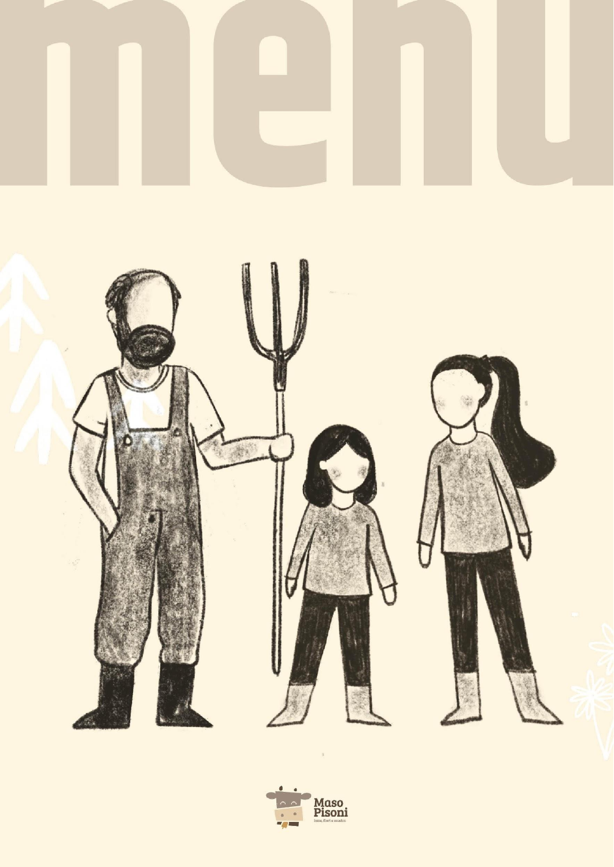

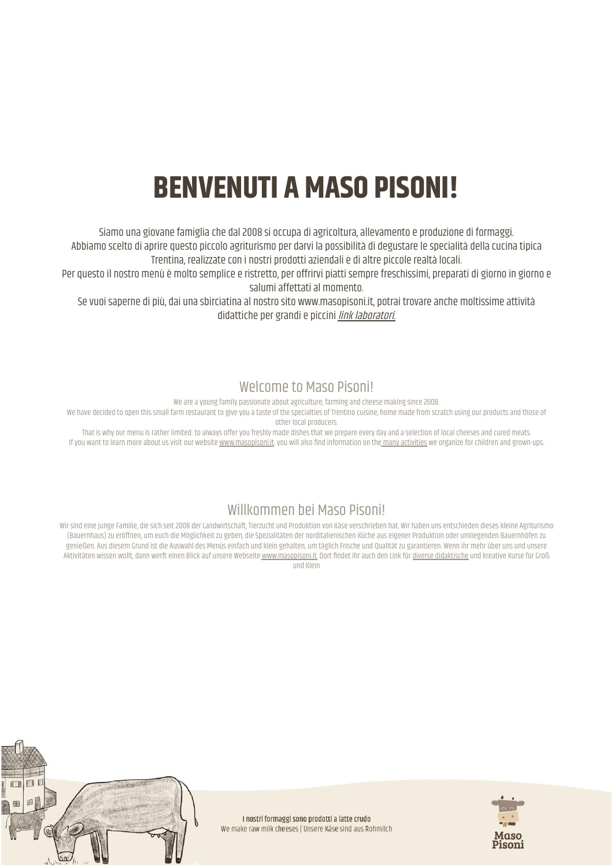# **BENVENUTI A MASO PISONI!**

Siamo una giovane famiglia che dal 2008 si occupa di agricoltura, allevamento e produzione di formaggi. Abbiamo scelto di aprire questo piccolo agriturismo per darvi la possibilità di degustare le specialità della cucina tipica Trentina, realizzate con i nostri prodotti aziendali e di altre piccole realtà locali.

Per questo il nostro menù è molto semplice e ristretto, per offrirvi piatti sempre freschissimi, preparati di giorno in giorno e salumi affettati al momento.

Se vuoi saperne di più, dai una sbirciatina al nostro sito [www.masopisoni.it](http://www.masopisoni.it/), potrai trovare anche moltissime attività didattiche per grandi e piccini link [laboratori.](https://shop.ranatick.com/masopisoni)

#### Welcome to Maso Pisoni!

We are a young family passionate about agriculture, farming and cheese making since 2008.

We have decided to open this small farm restaurant to give you a taste of the specialties of Trentino cuisine, home made from scratch using our products and those of other local producers.

That is why our menu is rather limited: to always offer you freshly made dishes that we prepare every day and a selection of local cheeses and cured meats. If you want to learn more about us visit our website [www.masopisoni.it](http://www.masopisoni.it/). you will also find information on the many [activities](https://shop.ranatick.com/masopisoni) we organize for children and grown-ups.

#### Willkommen bei Maso Pisoni!

Wir sind eine junge Familie, die sich seit 2008 der Landwirtschaft, Tierzucht und Produktion von Käse verschrieben hat. Wir haben uns entschieden dieses kleine Agriturismo (Bauernhaus) zu eröffnen, um euch die Möglichkeit zu geben, die Spezialitäten der norditalienischen Küche aus eigener Produktion oder umliegenden Bauernhöfen zu genießen. Aus diesem Grund ist die Auswahl des Menüs einfach und klein gehalten, um täglich Frische und Qualität zu garantieren. Wenn ihr mehr über uns und unsere Aktivitäten wissen wollt, dann werft einen Blick auf unsere Webseite [www.masopisoni.it.](http://www.masopisoni.it/) Dort findet ihr auch den Link für diverse [didaktische](https://shop.ranatick.com/masopisoni) und kreative Kurse für Groß und Klein



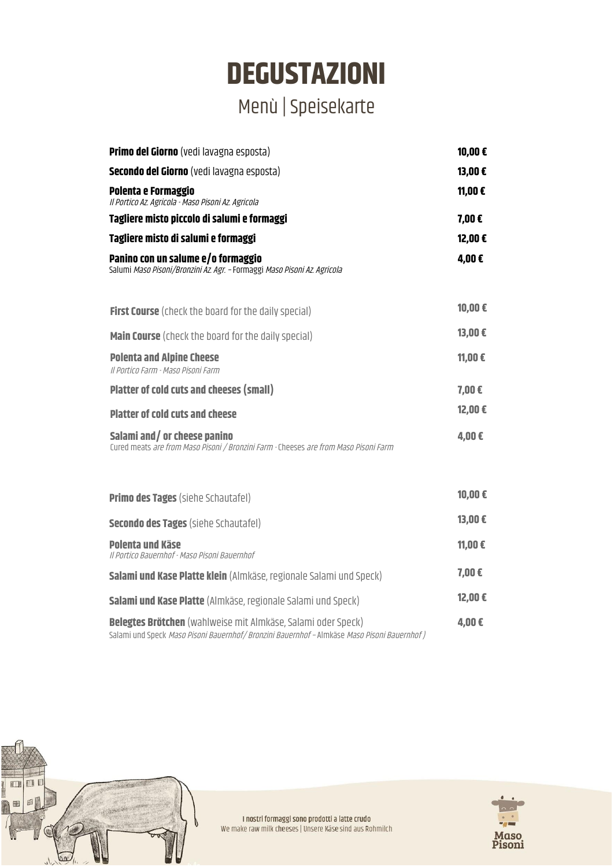## **DEGUSTAZIONI** Menù |Speisekarte

| Primo del Giorno (vedi lavagna esposta)                                                                                                                            | 10,00€     |
|--------------------------------------------------------------------------------------------------------------------------------------------------------------------|------------|
| <b>Secondo del Giorno</b> (vedi lavagna esposta)                                                                                                                   | 13,00€     |
| Polenta e Formaggio<br>Il Portico Az. Agricola - Maso Pisoni Az. Agricola                                                                                          | 11,00€     |
| Tagliere misto piccolo di salumi e formaggi                                                                                                                        | 7,00€      |
| Tagliere misto di salumi e formaggi                                                                                                                                | 12,00€     |
| Panino con un salume e/o formaggio<br>Salumi Maso Pisoni/Bronzini Az. Agr. - Formaggi Maso Pisoni Az. Agricola                                                     | 4,00€      |
| <b>First Course</b> (check the board for the daily special)                                                                                                        | 10,00€     |
| Main Course (check the board for the daily special)                                                                                                                | 13,00€     |
| <b>Polenta and Alpine Cheese</b><br>Il Portico Farm - Maso Pisoni Farm                                                                                             | 11,00€     |
| <b>Platter of cold cuts and cheeses (small)</b>                                                                                                                    | $7,00 \in$ |
| <b>Platter of cold cuts and cheese</b>                                                                                                                             | 12,00€     |
| Salami and/or cheese panino<br>Cured meats are from Maso Pisoni / Bronzini Farm - Cheeses are from Maso Pisoni Farm                                                | 4,00€      |
| <b>Primo des Tages (siehe Schautafel)</b>                                                                                                                          | 10,00€     |
| <b>Secondo des Tages (siehe Schautafel)</b>                                                                                                                        | 13,00€     |
| Polenta und Käse<br>Il Portico Bauernhof - Maso Pisoni Bauernhof                                                                                                   | 11,00€     |
| Salami und Kase Platte klein (Almkäse, regionale Salami und Speck)                                                                                                 | 7,00€      |
| Salami und Kase Platte (Almkäse, regionale Salami und Speck)                                                                                                       | 12,00€     |
| <b>Belegtes Brötchen</b> (wahlweise mit Almkäse, Salami oder Speck)<br>Salami und Speck Maso Pisoni Bauernhof/ Bronzini Bauernhof - Almkäse Maso Pisoni Bauernhof) | 4,00€      |



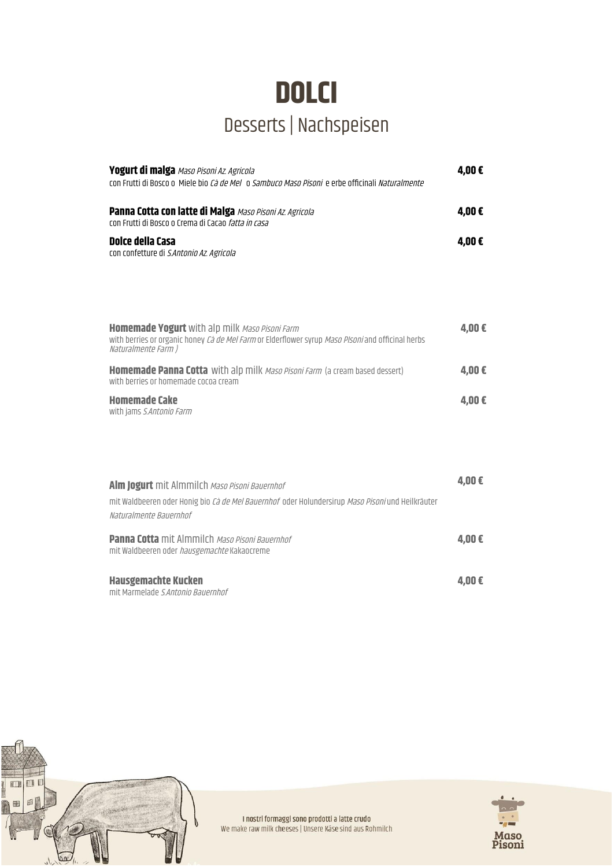### **DOLCI** Desserts | Nachspeisen

| Yogurt di malga Maso Pisoni Az. Agricola<br>con Frutti di Bosco o Miele bio Cà de Mel o Sambuco Maso Pisoni e erbe officinali Naturalmente                                        | 4,00€ |
|-----------------------------------------------------------------------------------------------------------------------------------------------------------------------------------|-------|
| <b>Panna Cotta con latte di Malga Maso Pisoni Az. Agricola</b><br>con Frutti di Bosco o Crema di Cacao <i>fatta in casa</i>                                                       | 4,00€ |
| Dolce della Casa<br>con confetture di S.Antonio Az. Agricola                                                                                                                      | 4,00€ |
|                                                                                                                                                                                   |       |
| <b>Homemade Yogurt</b> with alp milk Maso Pisoni Farm<br>with berries or organic honey Ca de Mel Farm or Elderflower syrup Maso PIsoni and officinal herbs<br>Naturalmente Farm ) | 4,00€ |
| Homemade Panna Cotta with alp milk Maso Pisoni Farm (a cream based dessert)<br>with berries or homemade cocoa cream                                                               | 4,00€ |
| <b>Homemade Cake</b><br>with jams S.Antonio Farm                                                                                                                                  | 4,00€ |
|                                                                                                                                                                                   |       |
|                                                                                                                                                                                   |       |
| Alm Jogurt mit Almmilch Maso Pisoni Bauernhof<br>mit Waldbeeren oder Honig bio Cà de Mel Bauernhof oder Holundersirup Maso Pisoni und Heilkräuter<br>Naturalmente Bauernhof       | 4,00€ |
| <b>Panna Cotta</b> mit Almmilch Maso Pisoni Bauernhof<br>mit Waldbeeren oder hausgemachte Kakaocreme                                                                              | 4,00€ |
| <b>Hausgemachte Kucken</b><br>mit Marmelade S Antonio Bauernhof                                                                                                                   | 4,00€ |



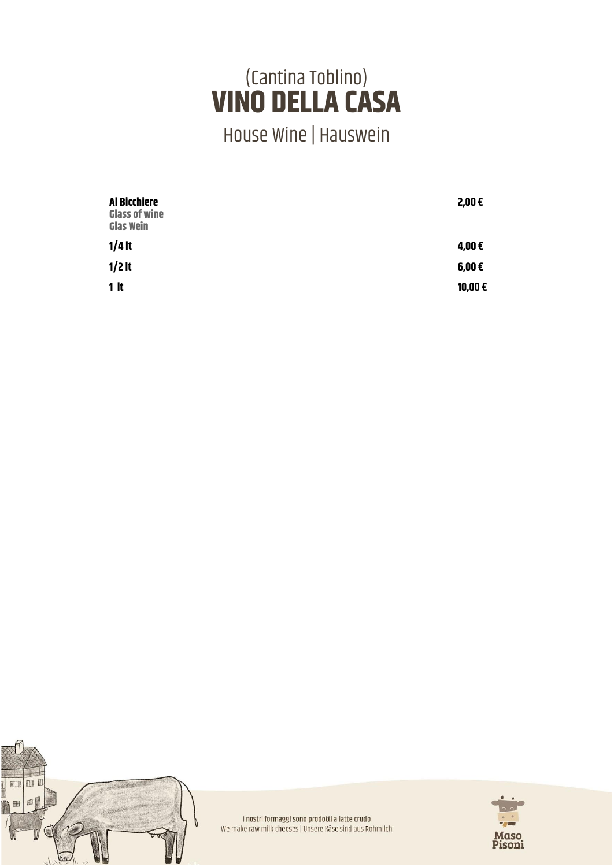### (Cantina Toblino) **VINO DELLA CASA**

House Wine | Hauswein

| Al Bicchiere<br><b>Glass of wine</b><br><b>Glas Wein</b> | 2,00€            |
|----------------------------------------------------------|------------------|
| $1/4$ It                                                 | 4,00€            |
| $1/2$ It                                                 | $6,00 \in$       |
| 1 <sup>h</sup>                                           | 10,00 $\epsilon$ |



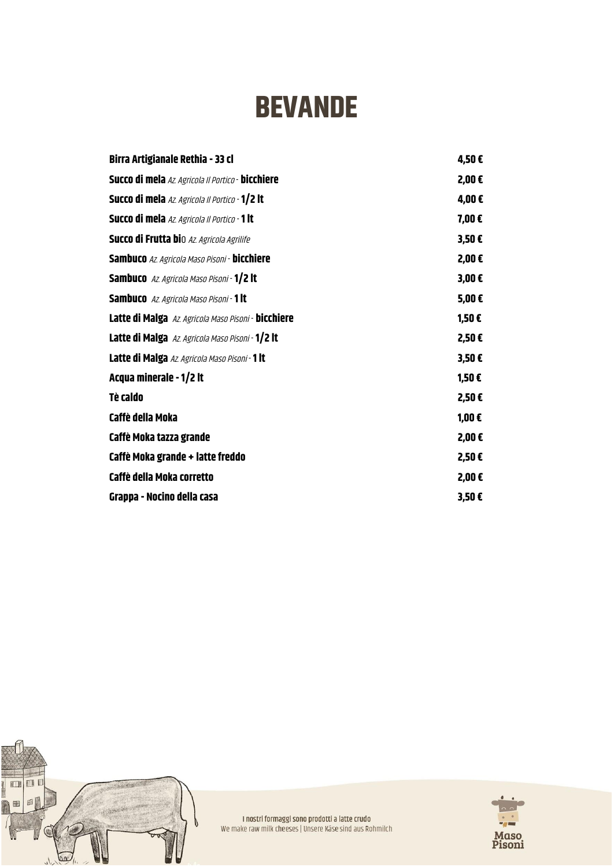# **BEVANDE**

| Birra Artigianale Rethia - 33 cl                          | 4,50€      |
|-----------------------------------------------------------|------------|
| Succo di mela Az Agricola Il Portico - bicchiere          | 2,00€      |
| Succo di mela Az. Agricola Il Portico - 1/2 lt            | 4,00€      |
| <b>Succo di mela</b> Az. Agricola Il Portico - 1 lt       | 7,00€      |
| <b>Succo di Frutta bi</b> o Az Agricola Agrilife          | 3,50E      |
| <b>Sambuco</b> Az Agricola Maso Pisoni - <b>bicchiere</b> | 2,00€      |
| <b>Sambuco</b> Az. Agricola Maso Pisoni - <b>1/2 lt</b>   | $3,00 \in$ |
| <b>Sambuco</b> Az Agricola Maso Pisoni - <b>1 lt</b>      | 5,00€      |
| Latte di Malga Az. Agricola Maso Pisoni - bicchiere       | 1,50€      |
| Latte di Malga Az Agricola Maso Pisoni - 1/2 lt           | 2,50€      |
| Latte di Malga Az Agricola Maso Pisoni - 1 lt             | 3,50E      |
| Acqua minerale - 1/2 lt                                   | 1,50€      |
| <b>Tè caldo</b>                                           | 2,50€      |
| Caffè della Moka                                          | 1,00€      |
| Caffè Moka tazza grande                                   | 2,00€      |
| Caffè Moka grande + latte freddo                          | 2,50€      |
| Caffè della Moka corretto                                 | 2,00€      |
| Grappa - Nocino della casa                                | 3,50E      |



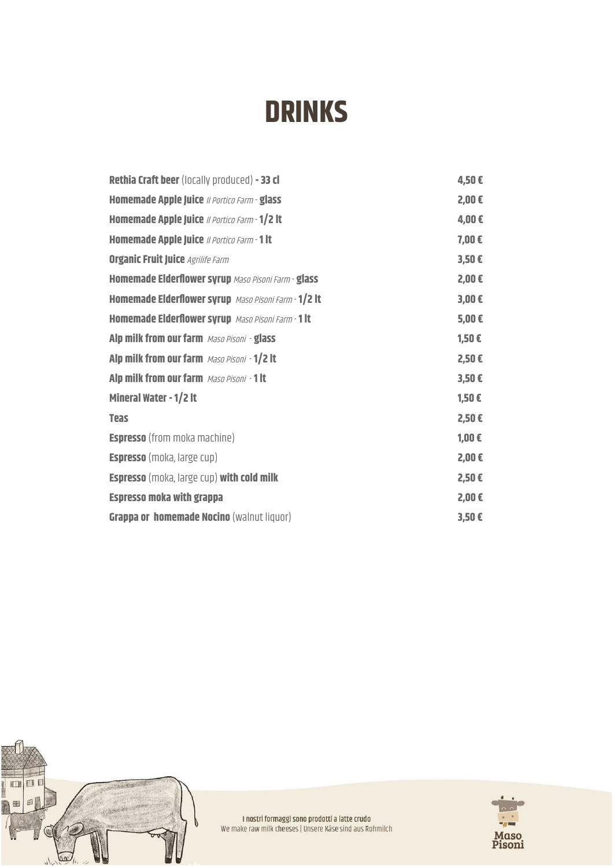# **DRINKS**

| <b>Rethia Craft beer</b> (locally produced) - 33 cl  | 4,50€      |
|------------------------------------------------------|------------|
| Homemade Apple Juice // Portico Farm - glass         | 2,00€      |
| Homemade Apple Juice // Portico Farm - 1/2 lt        | 4,00€      |
| Homemade Apple Juice // Portico Farm - 1 lt          | 7,00€      |
| <b>Organic Fruit Juice Agrilife Farm</b>             | 3,50E      |
| Homemade Elderflower syrup Maso Pisoni Farm - glass  | 2,00€      |
| Homemade Elderflower syrup Maso Pisoni Farm - 1/2 lt | $3,00 \in$ |
| Homemade Elderflower syrup Maso Pisoni Farm - 1 lt   | $5,00 \in$ |
| Alp milk from our farm Maso Pisoni - glass           | 1,50€      |
| Alp milk from our farm Maso Pisoni - 1/2 lt          | 2,50€      |
| Alp milk from our farm Maso Pisoni - 1 lt            | $3,50 \in$ |
| Mineral Water - 1/2 It                               | 1,50€      |
| <b>Teas</b>                                          | 2,50€      |
| <b>Espresso</b> (from moka machine)                  | $1,00 \in$ |
| <b>Espresso</b> (moka, large cup)                    | 2,00€      |
| <b>Espresso</b> (moka, large cup) with cold milk     | 2,50€      |
| <b>Espresso moka with grappa</b>                     | 2,00€      |
| Grappa or homemade Nocino (walnut liquor)            | $3,50 \in$ |